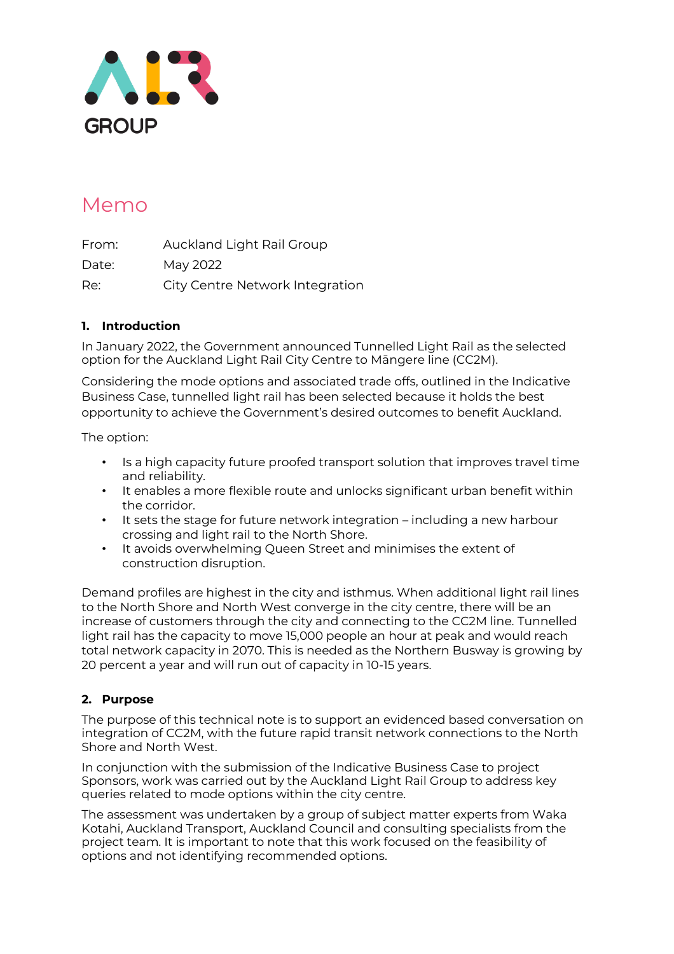

# Memo

From: Auckland Light Rail Group Date: May 2022 Re: City Centre Network Integration

## **1. Introduction**

In January 2022, the Government announced Tunnelled Light Rail as the selected option for the Auckland Light Rail City Centre to Māngere line (CC2M).

Considering the mode options and associated trade offs, outlined in the Indicative Business Case, tunnelled light rail has been selected because it holds the best opportunity to achieve the Government's desired outcomes to benefit Auckland.

The option:

- Is a high capacity future proofed transport solution that improves travel time and reliability.
- It enables a more flexible route and unlocks significant urban benefit within the corridor.
- It sets the stage for future network integration including a new harbour crossing and light rail to the North Shore.
- It avoids overwhelming Queen Street and minimises the extent of construction disruption.

Demand profiles are highest in the city and isthmus. When additional light rail lines to the North Shore and North West converge in the city centre, there will be an increase of customers through the city and connecting to the CC2M line. Tunnelled light rail has the capacity to move 15,000 people an hour at peak and would reach total network capacity in 2070. This is needed as the Northern Busway is growing by 20 percent a year and will run out of capacity in 10-15 years.

### **2. Purpose**

The purpose of this technical note is to support an evidenced based conversation on integration of CC2M, with the future rapid transit network connections to the North Shore and North West.

In conjunction with the submission of the Indicative Business Case to project Sponsors, work was carried out by the Auckland Light Rail Group to address key queries related to mode options within the city centre.

The assessment was undertaken by a group of subject matter experts from Waka Kotahi, Auckland Transport, Auckland Council and consulting specialists from the project team. It is important to note that this work focused on the feasibility of options and not identifying recommended options.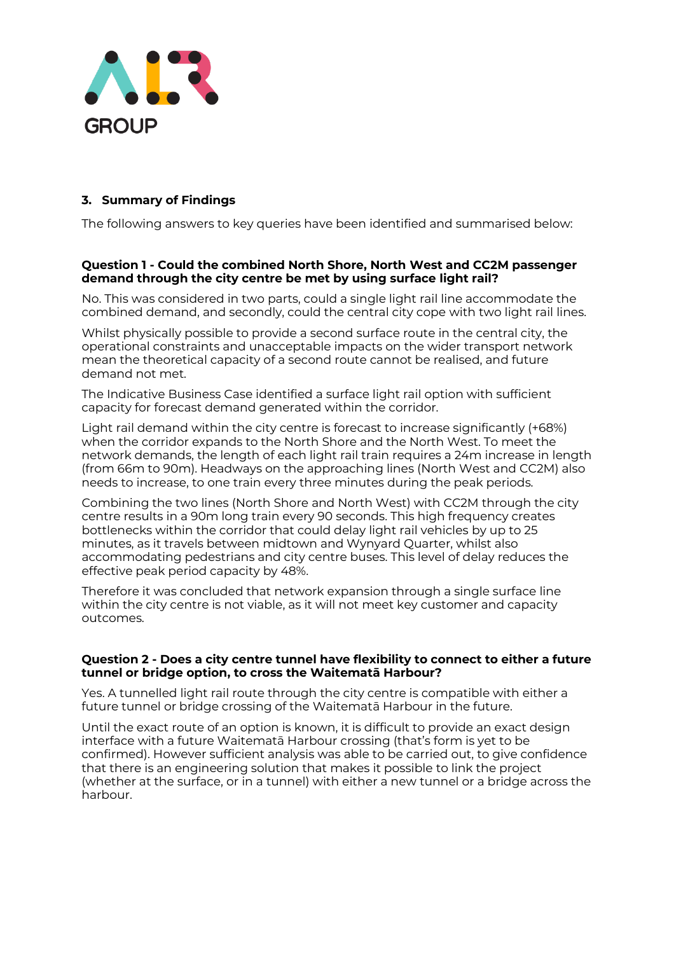

## **3. Summary of Findings**

The following answers to key queries have been identified and summarised below:

#### **Question 1 - Could the combined North Shore, North West and CC2M passenger demand through the city centre be met by using surface light rail?**

No. This was considered in two parts, could a single light rail line accommodate the combined demand, and secondly, could the central city cope with two light rail lines.

Whilst physically possible to provide a second surface route in the central city, the operational constraints and unacceptable impacts on the wider transport network mean the theoretical capacity of a second route cannot be realised, and future demand not met.

The Indicative Business Case identified a surface light rail option with sufficient capacity for forecast demand generated within the corridor.

Light rail demand within the city centre is forecast to increase significantly (+68%) when the corridor expands to the North Shore and the North West. To meet the network demands, the length of each light rail train requires a 24m increase in length (from 66m to 90m). Headways on the approaching lines (North West and CC2M) also needs to increase, to one train every three minutes during the peak periods.

Combining the two lines (North Shore and North West) with CC2M through the city centre results in a 90m long train every 90 seconds. This high frequency creates bottlenecks within the corridor that could delay light rail vehicles by up to 25 minutes, as it travels between midtown and Wynyard Quarter, whilst also accommodating pedestrians and city centre buses. This level of delay reduces the effective peak period capacity by 48%.

Therefore it was concluded that network expansion through a single surface line within the city centre is not viable, as it will not meet key customer and capacity outcomes.

#### **Question 2 - Does a city centre tunnel have flexibility to connect to either a future tunnel or bridge option, to cross the Waitematā Harbour?**

Yes. A tunnelled light rail route through the city centre is compatible with either a future tunnel or bridge crossing of the Waitematā Harbour in the future.

Until the exact route of an option is known, it is difficult to provide an exact design interface with a future Waitematā Harbour crossing (that's form is yet to be confirmed). However sufficient analysis was able to be carried out, to give confidence that there is an engineering solution that makes it possible to link the project (whether at the surface, or in a tunnel) with either a new tunnel or a bridge across the harbour.